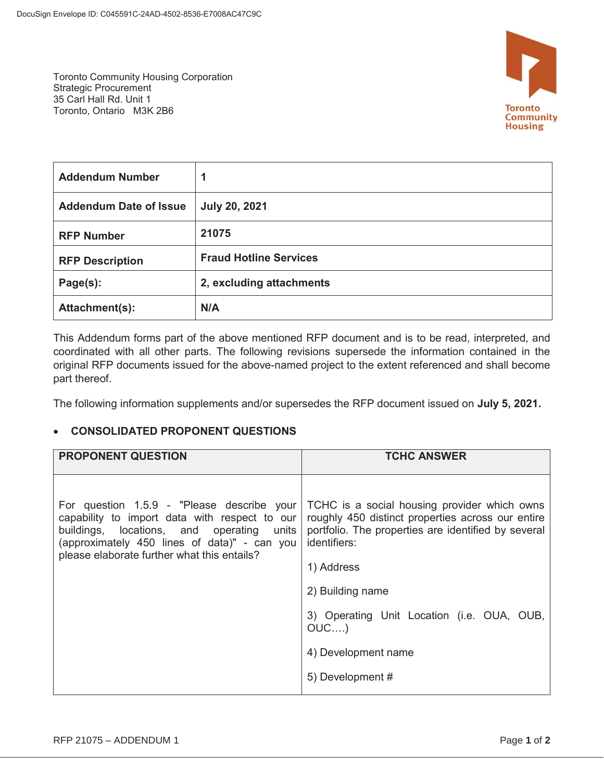Toronto Community Housing Corporation Strategic Procurement 35 Carl Hall Rd. Unit 1 Toronto, Ontario M3K 2B6



| <b>Addendum Number</b>        | 1                             |
|-------------------------------|-------------------------------|
| <b>Addendum Date of Issue</b> | <b>July 20, 2021</b>          |
| <b>RFP Number</b>             | 21075                         |
| <b>RFP Description</b>        | <b>Fraud Hotline Services</b> |
| Page(s):                      | 2, excluding attachments      |
| Attachment(s):                | N/A                           |

This Addendum forms part of the above mentioned RFP document and is to be read, interpreted, and coordinated with all other parts. The following revisions supersede the information contained in the original RFP documents issued for the above-named project to the extent referenced and shall become part thereof.

The following information supplements and/or supersedes the RFP document issued on **July 5, 2021.** 

## x **CONSOLIDATED PROPONENT QUESTIONS**

| <b>PROPONENT QUESTION</b>                                                                                                                                                                                                               | <b>TCHC ANSWER</b>                                                                                                                                                                                                                                                                                             |
|-----------------------------------------------------------------------------------------------------------------------------------------------------------------------------------------------------------------------------------------|----------------------------------------------------------------------------------------------------------------------------------------------------------------------------------------------------------------------------------------------------------------------------------------------------------------|
| For question 1.5.9 - "Please describe your<br>capability to import data with respect to our<br>buildings, locations, and operating units<br>(approximately 450 lines of data)" - can you<br>please elaborate further what this entails? | TCHC is a social housing provider which owns<br>roughly 450 distinct properties across our entire<br>portfolio. The properties are identified by several<br>identifiers:<br>1) Address<br>2) Building name<br>3) Operating Unit Location (i.e. OUA, OUB,<br>$OUC$ )<br>4) Development name<br>5) Development # |